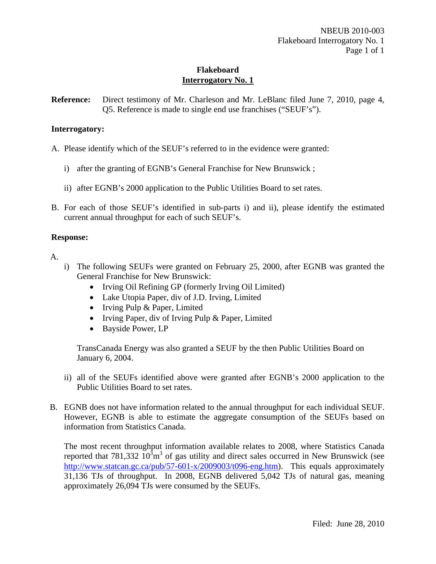**Reference:** Direct testimony of Mr. Charleson and Mr. LeBlanc filed June 7, 2010, page 4, Q5. Reference is made to single end use franchises ("SEUF's").

## **Interrogatory:**

A. Please identify which of the SEUF's referred to in the evidence were granted:

- i) after the granting of EGNB's General Franchise for New Brunswick ;
- ii) after EGNB's 2000 application to the Public Utilities Board to set rates.
- B. For each of those SEUF's identified in sub-parts i) and ii), please identify the estimated current annual throughput for each of such SEUF's.

#### **Response:**

A.

- i) The following SEUFs were granted on February 25, 2000, after EGNB was granted the General Franchise for New Brunswick:
	- Irving Oil Refining GP (formerly Irving Oil Limited)
	- Lake Utopia Paper, div of J.D. Irving, Limited
	- Irving Pulp & Paper, Limited
	- Irving Paper, div of Irving Pulp & Paper, Limited
	- Bayside Power, LP

TransCanada Energy was also granted a SEUF by the then Public Utilities Board on January 6, 2004.

- ii) all of the SEUFs identified above were granted after EGNB's 2000 application to the Public Utilities Board to set rates.
- B. EGNB does not have information related to the annual throughput for each individual SEUF. However, EGNB is able to estimate the aggregate consumption of the SEUFs based on information from Statistics Canada.

The most recent throughput information available relates to 2008, where Statistics Canada reported that 781,332  $10^3$ m<sup>3</sup> of gas utility and direct sales occurred in New Brunswick (see http://www.statcan.gc.ca/pub/57-601-x/2009003/t096-eng.htm). This equals approximately 31,136 TJs of throughput. In 2008, EGNB delivered 5,042 TJs of natural gas, meaning approximately 26,094 TJs were consumed by the SEUFs.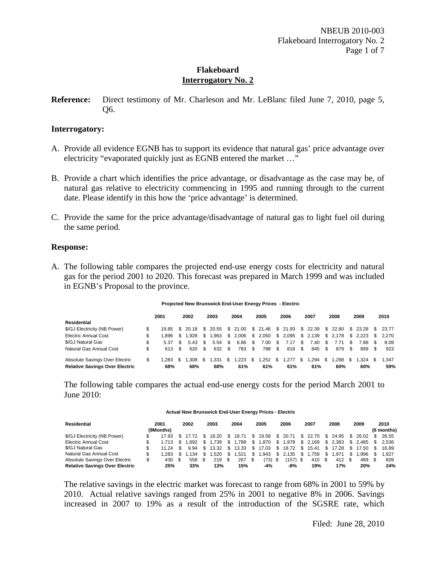**Reference:** Direct testimony of Mr. Charleson and Mr. LeBlanc filed June 7, 2010, page 5, Q6.

#### **Interrogatory:**

- A. Provide all evidence EGNB has to support its evidence that natural gas' price advantage over electricity "evaporated quickly just as EGNB entered the market ..."
- B. Provide a chart which identifies the price advantage, or disadvantage as the case may be, of natural gas relative to electricity commencing in 1995 and running through to the current date. Please identify in this how the 'price advantage' is determined.
- C. Provide the same for the price advantage/disadvantage of natural gas to light fuel oil during the same period.

#### **Response:**

A. The following table compares the projected end-use energy costs for electricity and natural gas for the period 2001 to 2020. This forecast was prepared in March 1999 and was included in EGNB's Proposal to the province.

#### **Projected New Brunswick End-User Energy Prices - Electric**

|                                       | 2001         | 2002           |      | 2003      |     | 2004                                |      | 2005            |   | 2006     |      | 2007              |    | 2008     |      | 2009              | 2010    |
|---------------------------------------|--------------|----------------|------|-----------|-----|-------------------------------------|------|-----------------|---|----------|------|-------------------|----|----------|------|-------------------|---------|
| Residential                           |              |                |      |           |     |                                     |      |                 |   |          |      |                   |    |          |      |                   |         |
| \$/GJ Electricity (NB Power)          |              | 19.85 \$ 20.18 |      |           |     | \$ 20.55 \$ 21.00 \$ 21.46 \$ 21.93 |      |                 |   |          |      | \$ 22.39 \$ 22.80 |    |          |      | \$ 23.28 \$ 23.77 |         |
| <b>Electric Annual Cost</b>           | \$<br>896.⊺  | .928           | -SS  | l.963     |     | \$ 2.006                            | \$   | 2.050           |   | \$ 2.095 |      | \$ 2,139          |    | \$ 2.178 |      | \$2.223           | \$2.270 |
| \$/GJ Natural Gas                     | \$<br>5.37   | 5.43           | - \$ | $5.54$ \$ |     | 6.86                                | - \$ | $7.00 \quad$ \$ |   | 7.17     | -S   | 7.40              | -S |          | \$.  | 7.88              | 8.09    |
| Natural Gas Annual Cost               | \$<br>613 \$ | 620            | -\$  | 632       | -\$ | 783                                 | - \$ | 798 \$          |   | 818      | - \$ | 845 \$            |    | 879      | - \$ | 899               | 923     |
| Absolute Savings Over Electric        | \$<br>1.283  | .308           |      | .331      |     | .223                                | S    | .252            | S | .277     | S    | 1.294             | S  | .298     | S    | 1.324             | 1.347   |
| <b>Relative Savings Over Electric</b> | 68%          | 68%            |      | 68%       |     | 61%                                 |      | 61%             |   | 61%      |      | 61%               |    | 60%      |      | 60%               | 59%     |

The following table compares the actual end-use energy costs for the period March 2001 to June 2010:

#### **Actual New Brunswick End-User Energy Prices - Electric**

| Residential                           | 2001<br>(9Months) | 2002    |     | 2003            |          | 2004  |    | 2005      | 2006           |     | 2007              |     | 2008  |     | 2009             | 2010<br>(6 months) |
|---------------------------------------|-------------------|---------|-----|-----------------|----------|-------|----|-----------|----------------|-----|-------------------|-----|-------|-----|------------------|--------------------|
| \$/GJ Electricity (NB Power)          | 17.93             | \$17.72 |     | 18.20           | -SS      | 18.71 | S  |           | 19.58 \$ 20.71 |     | \$ 22.70 \$ 24.95 |     |       | S.  | $26.02 \quad$ \$ | 26.55              |
| <b>Electric Annual Cost</b>           | $1.713$ \$        | 1.692   | \$. | 1.739           | <b>S</b> | 1.788 | \$ | 1,870     | \$1,978        |     | \$ 2,169 \$ 2,383 |     |       |     |                  | \$ 2,485 \$ 2,536  |
| \$/GJ Natural Gas                     | $11.24$ \$        | 9.94    | \$. | 13.32           | - \$     | 13.33 | S  |           | 17.03 \$ 18.72 | S.  | 15.41 \$ 17.28    |     |       | S.  |                  | 17.50 \$ 16.89     |
| Natural Gas Annual Cost               | 1.283             | \$1.134 |     | $^{\circ}$ .520 | S.       | .521  | S  | .943      | \$2.135        | S   | 1.759             | \$. | 1.971 | S.  | .996             | 1.927              |
| Absolute Savings Over Electric        | \$<br>430 \$      | 558     |     | 219             |          | 267   |    | $(73)$ \$ | (157)          | \$. | 410 \$            |     | 412   | \$. | 489 \$           | 609                |
| <b>Relative Savings Over Electric</b> | 25%               | 33%     |     | 13%             |          | 15%   |    | -4%       | -8%            |     | 19%               |     | 17%   |     | 20%              | 24%                |

The relative savings in the electric market was forecast to range from 68% in 2001 to 59% by 2010. Actual relative savings ranged from 25% in 2001 to negative 8% in 2006. Savings increased in 2007 to 19% as a result of the introduction of the SGSRE rate, which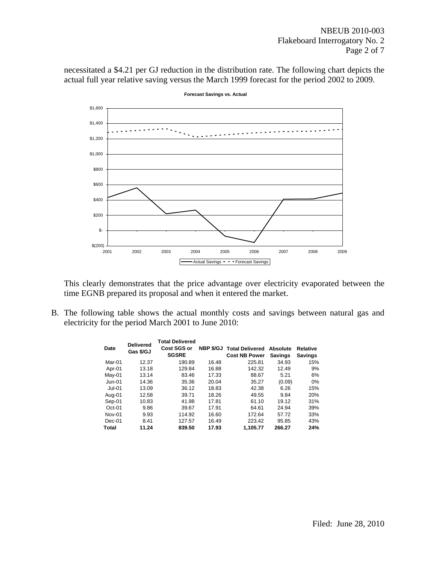necessitated a \$4.21 per GJ reduction in the distribution rate. The following chart depicts the actual full year relative saving versus the March 1999 forecast for the period 2002 to 2009.



**Forecast Savings vs. Actual**

This clearly demonstrates that the price advantage over electricity evaporated between the time EGNB prepared its proposal and when it entered the market.

B. The following table shows the actual monthly costs and savings between natural gas and electricity for the period March 2001 to June 2010:

| Date     | <b>Delivered</b><br>Gas \$/GJ | <b>Total Delivered</b><br>Cost SGS or<br><b>SGSRE</b> | NBP \$/GJ | <b>Total Delivered</b><br><b>Cost NB Power</b> | Absolute<br><b>Savings</b> | <b>Relative</b><br><b>Savings</b> |
|----------|-------------------------------|-------------------------------------------------------|-----------|------------------------------------------------|----------------------------|-----------------------------------|
| Mar-01   | 12.37                         | 190.89                                                | 16.48     | 225.81                                         | 34.93                      | 15%                               |
| Apr-01   | 13.18                         | 129.84                                                | 16.88     | 142.32                                         | 12.49                      | 9%                                |
| $May-01$ | 13.14                         | 83.46                                                 | 17.33     | 88.67                                          | 5.21                       | 6%                                |
| Jun-01   | 14.36                         | 35.36                                                 | 20.04     | 35.27                                          | (0.09)                     | $0\%$                             |
| Jul-01   | 13.09                         | 36.12                                                 | 18.83     | 42.38                                          | 6.26                       | 15%                               |
| Aug-01   | 12.58                         | 39.71                                                 | 18.26     | 49.55                                          | 9.84                       | 20%                               |
| Sep-01   | 10.83                         | 41.98                                                 | 17.81     | 61.10                                          | 19.12                      | 31%                               |
| $Oct-01$ | 9.86                          | 39.67                                                 | 17.91     | 64.61                                          | 24.94                      | 39%                               |
| Nov-01   | 9.93                          | 114.92                                                | 16.60     | 172.64                                         | 57.72                      | 33%                               |
| $Dec-01$ | 8.41                          | 127.57                                                | 16.49     | 223.42                                         | 95.85                      | 43%                               |
| Total    | 11.24                         | 839.50                                                | 17.93     | 1.105.77                                       | 266.27                     | 24%                               |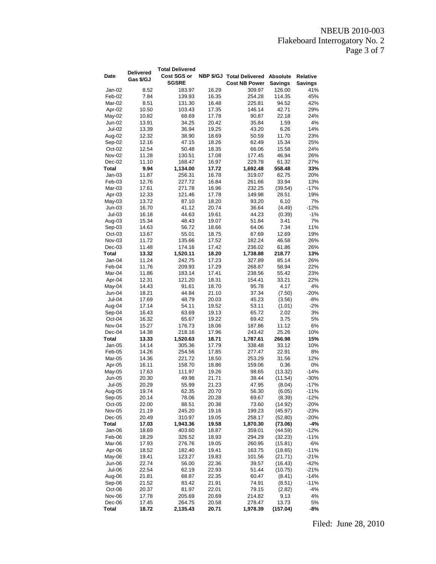# NBEUB 2010-003 Flakeboard Interrogatory No. 2 Page 3 of 7

|               | <b>Delivered</b> | <b>Total Delivered</b> |       |                                    |                |          |
|---------------|------------------|------------------------|-------|------------------------------------|----------------|----------|
| Date          | Gas \$/GJ        | Cost SGS or            |       | NBP \$/GJ Total Delivered Absolute |                | Relative |
|               |                  | <b>SGSRE</b>           |       | <b>Cost NB Power</b>               | <b>Savings</b> | Savings  |
| Jan-02        | 8.52             | 183.97                 | 16.29 | 309.97                             | 126.00         | 41%      |
| Feb-02        | 7.84             | 139.93                 | 16.35 | 254.28                             | 114.35         | 45%      |
| Mar-02        | 8.51             | 131.30                 | 16.48 | 225.81                             | 94.52          | 42%      |
| Apr-02        | 10.50            | 103.43                 | 17.35 | 146.14                             | 42.71          | 29%      |
| May-02        | 10.82            | 68.69                  | 17.78 | 90.87                              | 22.18          | 24%      |
| Jun-02        | 13.91            | 34.25                  | 20.42 | 35.84                              | 1.59           | 4%       |
| <b>Jul-02</b> | 13.39            | 36.94                  | 19.25 | 43.20                              | 6.26           | 14%      |
| Aug-02        | 12.32            | 38.90                  | 18.69 | 50.59                              | 11.70          | 23%      |
| Sep-02        | 12.16            | 47.15                  | 18.26 | 62.49                              | 15.34          | 25%      |
| Oct-02        | 12.54            | 50.48                  | 18.35 | 66.06                              | 15.58          | 24%      |
| Nov-02        | 11.28            | 130.51                 | 17.08 | 177.45                             | 46.94          | 26%      |
| Dec-02        | 11.10            | 168.47                 | 16.97 | 229.78                             | 61.32          | 27%      |
| <b>Total</b>  | 9.94             | 1,134.00               | 17.72 | 1,692.48                           | 558.48         | 33%      |
| Jan-03        | 11.87            | 256.31                 | 16.78 | 319.07                             | 62.75          | 20%      |
| Feb-03        | 12.76            | 227.72                 | 16.84 | 261.66                             | 33.94          | 13%      |
| Mar-03        | 17.61            | 271.78                 | 16.96 | 232.25                             | (39.54)        | $-17%$   |
| Apr-03        | 12.33            | 121.46                 | 17.78 | 149.98                             | 28.51          | 19%      |
| $May-03$      | 13.72            | 87.10                  | 18.20 | 93.20                              | 6.10           | 7%       |
| Jun-03        | 16.70            | 41.12                  | 20.74 | 36.64                              | (4.49)         | $-12%$   |
| $Jul-03$      | 16.18            | 44.63                  | 19.61 | 44.23                              | (0.39)         | $-1%$    |
| Aug-03        | 15.34            | 48.43                  | 19.07 | 51.84                              | 3.41           | 7%       |
| Sep-03        | 14.63            | 56.72                  | 18.66 | 64.06                              | 7.34           | 11%      |
| $Oct-03$      | 13.67            | 55.01                  | 18.75 | 67.69                              | 12.69          | 19%      |
| Nov-03        | 11.72            | 135.66                 | 17.52 | 182.24                             | 46.58          | 26%      |
| $Dec-03$      | 11.48            | 174.16                 | 17.42 | 236.02                             | 61.86          | 26%      |
| Total         | 13.32            | 1,520.11               | 18.20 | 1,738.88                           | 218.77         | 13%      |
| Jan-04        | 11.24            | 242.75                 | 17.23 | 327.89                             | 85.14          | 26%      |
| Feb-04        | 11.76            | 209.93                 | 17.29 | 268.87                             | 58.94          | 22%      |
| Mar-04        | 11.86            | 183.14                 | 17.41 | 238.56                             | 55.42          | 23%      |
| Apr-04        | 12.31            | 121.20                 | 18.31 | 154.41                             | 33.21          | 22%      |
| May-04        | 14.43            | 91.61                  | 18.70 | 95.78                              | 4.17           | 4%       |
| Jun-04        | 18.21            | 44.84                  | 21.10 | 37.34                              | (7.50)         | $-20%$   |
| Jul-04        | 17.69            | 48.79                  | 20.03 | 45.23                              | (3.56)         | -8%      |
| Aug-04        | 17.14            | 54.11                  | 19.52 | 53.11                              | (1.01)         | $-2%$    |
| Sep-04        | 16.43            | 63.69                  | 19.13 | 65.72                              | 2.02           | 3%       |
| Oct-04        | 16.32            | 65.67                  | 19.22 | 69.42                              | 3.75           | 5%       |
| Nov-04        | 15.27            | 176.73                 | 18.06 | 187.86                             | 11.12          | 6%       |
| Dec-04        | 14.38            | 218.16                 | 17.96 | 243.42                             | 25.26          | 10%      |
| <b>Total</b>  | 13.33            | 1,520.63               | 18.71 | 1,787.61                           | 266.98         | 15%      |
| Jan-05        | 14.14            | 305.36                 | 17.79 | 338.48                             | 33.12          | 10%      |
| Feb-05        | 14.26            | 254.56                 | 17.85 | 277.47                             | 22.91          | 8%       |
| Mar-05        | 14.36            | 221.72                 | 18.50 | 253.29                             | 31.56          | 12%      |
| Apr-05        | 16.11            | 158.70                 | 18.86 | 159.06                             | 0.36           | 0%       |
| May-05        | 17.63            | 111.97                 | 19.26 | 98.65                              | (13.32)        | $-14%$   |
| Jun-05        | 20.30            | 49.98                  | 21.71 | 38.44                              | (11.54)        | $-30%$   |
| Jul-05        | 20.29            | 55.99                  | 21.23 | 47.95                              | (8.04)         | -17%     |
| Aug-05        | 19.74            | 62.35                  | 20.70 | 56.30                              | (6.05)         | $-11%$   |
| Sep-05        | 20.14            | 78.06                  | 20.28 | 69.67                              | (8.39)         | $-12%$   |
| Oct-05        | 22.00            | 88.51                  | 20.38 | 73.60                              | (14.92)        | $-20%$   |
| Nov-05        | 21.19            | 245.20                 | 19.16 | 199.23                             | (45.97)        | $-23%$   |
| $Dec-05$      | 20.49            | 310.97                 | 19.05 | 258.17                             | (52.80)        | $-20%$   |
| Total         | 17.03            | 1,943.36               | 19.58 | 1,870.30                           | (73.06)        | -4%      |
| Jan-06        | 18.69            | 403.60                 | 18.87 | 359.01                             | (44.59)        | -12%     |
| Feb-06        | 18.29            | 326.52                 | 18.93 | 294.29                             | (32.23)        | $-11%$   |
| Mar-06        | 17.93            | 276.76                 | 19.05 | 260.95                             | (15.81)        | -6%      |
| Apr-06        | 18.52            | 182.40                 | 19.41 | 163.75                             | (18.65)        | $-11%$   |
| May-06        | 19.41            | 123.27                 | 19.83 | 101.56                             | (21.71)        | $-21%$   |
| Jun-06        | 22.74            | 56.00                  | 22.36 | 39.57                              | (16.43)        | $-42%$   |
| Jul-06        | 22.54            | 62.19                  | 22.93 | 51.44                              | (10.75)        | $-21%$   |
| Aug-06        | 21.81            | 68.87                  | 22.35 | 60.47                              | (8.41)         | $-14%$   |
| Sep-06        | 21.52            | 83.42                  | 21.91 | 74.91                              | (8.51)         | $-11%$   |
| Oct-06        | 20.37            | 81.97                  | 22.01 | 79.15                              | (2.82)         | $-4%$    |
| Nov-06        | 17.78            | 205.69                 | 20.69 | 214.82                             | 9.13           | 4%       |
| Dec-06        | 17.45            | 264.75                 | 20.58 | 278.47                             | 13.73          | 5%       |
| Total         | 18.72            | 2,135.43               | 20.71 | 1,978.39                           | (157.04)       | -8%      |

Filed: June 28, 2010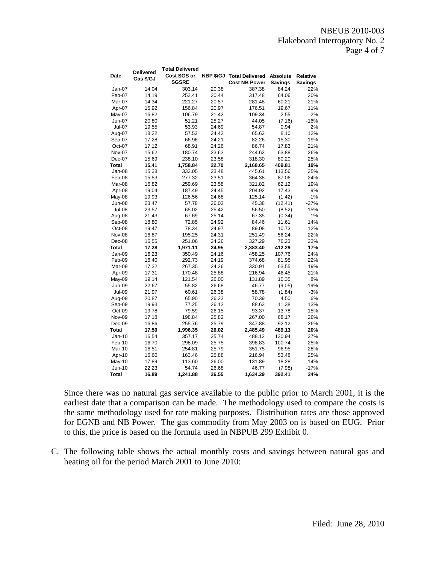| Date             | <b>Delivered</b><br>Gas \$/GJ | <b>Total Delivered</b><br>Cost SGS or<br><b>SGSRE</b> | NBP \$/GJ      | <b>Total Delivered Absolute</b><br><b>Cost NB Power</b> | Savings        | <b>Relative</b><br><b>Savings</b> |
|------------------|-------------------------------|-------------------------------------------------------|----------------|---------------------------------------------------------|----------------|-----------------------------------|
| Jan-07           | 14.04                         | 303.14                                                | 20.38          | 387.38                                                  | 84.24          | 22%                               |
| Feb-07           | 14.19                         | 253.41                                                | 20.44          | 317.48                                                  | 64.06          | 20%                               |
| Mar-07           | 14.34                         | 221.27                                                | 20.57          | 281.48                                                  | 60.21          | 21%                               |
| Apr-07           | 15.92                         | 156.84                                                | 20.97          | 176.51                                                  | 19.67          | 11%                               |
| May-07           | 16.82                         | 106.79                                                | 21.42          | 109.34                                                  | 2.55           | 2%                                |
| Jun-07           | 20.80                         | 51.21                                                 | 25.27          | 44.05                                                   | (7.16)         | $-16%$                            |
| <b>Jul-07</b>    | 19.55                         | 53.93                                                 | 24.69          | 54.87                                                   | 0.94           | 2%                                |
| Aug-07           | 18.22                         | 57.52                                                 | 24.42          | 65.62                                                   | 8.10           | 12%                               |
| Sep-07           | 17.28                         | 66.96                                                 | 24.21          | 82.26                                                   | 15.30          | 19%                               |
| Oct-07           | 17.12                         | 68.91                                                 | 24.26          | 86.74                                                   | 17.83          | 21%                               |
| Nov-07           | 15.62                         | 180.74                                                | 23.63          | 244.62                                                  | 63.88          | 26%                               |
| Dec-07           | 15.69                         | 238.10                                                | 23.58          | 318.30                                                  | 80.20          | 25%                               |
| Total            | 15.41                         | 1,758.84                                              | 22.70          | 2,168.65                                                | 409.81         | 19%                               |
| Jan-08           | 15.38                         | 332.05                                                | 23.48          | 445.61                                                  | 113.56         | 25%                               |
| Feb-08           | 15.53                         | 277.32                                                | 23.51          | 364.38                                                  | 87.06          | 24%                               |
| Mar-08           | 16.82                         | 259.69                                                | 23.58          | 321.82                                                  | 62.12          | 19%                               |
| Apr-08           | 19.04                         | 187.49                                                | 24.45          | 204.92                                                  | 17.43          | 9%                                |
| May-08           | 19.93                         | 126.56                                                | 24.68          | 125.14                                                  | (1.42)         | $-1%$                             |
| Jun-08           | 23.47                         | 57.78                                                 | 26.02          | 45.38                                                   | (12.41)        | $-27%$                            |
| <b>Jul-08</b>    | 23.57                         | 65.02                                                 | 25.42          | 56.50                                                   | (8.52)         | $-15%$                            |
| Aug-08           | 21.43                         | 67.69                                                 | 25.14          | 67.35                                                   | (0.34)         | $-1%$                             |
| Sep-08           | 18.80                         | 72.85                                                 | 24.92          | 84.46                                                   | 11.61          | 14%                               |
| Oct-08           | 19.47                         | 78.34                                                 | 24.97          | 89.08                                                   | 10.73          | 12%                               |
| Nov-08           | 16.87                         | 195.25                                                | 24.31          | 251.49                                                  | 56.24          | 22%                               |
| Dec-08           | 16.55                         | 251.06                                                | 24.26          | 327.29                                                  | 76.23          | 23%                               |
| Total            | 17.28                         | 1,971.11                                              | 24.95          | 2,383.40                                                | 412.29         | 17%                               |
| Jan-09           | 16.23                         | 350.49                                                | 24.16          | 458.25                                                  | 107.76         | 24%                               |
| Feb-09           | 16.40                         | 292.73                                                | 24.19          | 374.68                                                  | 81.95          | 22%                               |
| Mar-09           | 17.32                         | 267.35                                                | 24.26          | 330.91                                                  | 63.55          | 19%<br>21%                        |
| Apr-09<br>May-09 | 17.31<br>19.14                | 170.48<br>121.54                                      | 25.88<br>26.00 | 216.94<br>131.89                                        | 46.45<br>10.35 | 8%                                |
| <b>Jun-09</b>    | 22.67                         | 55.82                                                 | 26.68          | 46.77                                                   | (9.05)         | $-19%$                            |
| Jul-09           | 21.97                         | 60.61                                                 | 26.38          | 58.78                                                   | (1.84)         | $-3%$                             |
| Aug-09           | 20.87                         | 65.90                                                 | 26.23          | 70.39                                                   | 4.50           | 6%                                |
| Sep-09           | 19.93                         | 77.25                                                 | 26.12          | 88.63                                                   | 11.38          | 13%                               |
| Oct-09           | 19.78                         | 79.59                                                 | 26.15          | 93.37                                                   | 13.78          | 15%                               |
| Nov-09           | 17.18                         | 198.84                                                | 25.82          | 267.00                                                  | 68.17          | 26%                               |
| Dec-09           | 16.86                         | 255.76                                                | 25.79          | 347.88                                                  | 92.12          | 26%                               |
| Total            | 17.50                         | 1,996.35                                              | 26.02          | 2,485.49                                                | 489.13         | 20%                               |
| $Jan-10$         | 16.54                         | 357.17                                                | 25.74          | 488.12                                                  | 130.94         | 27%                               |
| Feb-10           | 16.70                         | 298.09                                                | 25.75          | 398.83                                                  | 100.74         | 25%                               |
| <b>Mar-10</b>    | 16.51                         | 254.81                                                | 25.79          | 351.75                                                  | 96.95          | 28%                               |
| Apr-10           | 16.60                         | 163.46                                                | 25.88          | 216.94                                                  | 53.48          | 25%                               |
| May-10           | 17.89                         | 113.60                                                | 26.00          | 131.89                                                  | 18.28          | 14%                               |
| Jun-10           | 22.23                         | 54.74                                                 | 26.68          | 46.77                                                   | (7.98)         | $-17%$                            |
| <b>Total</b>     | 16.89                         | 1,241.88                                              | 26.55          | 1,634.29                                                | 392.41         | 24%                               |

Since there was no natural gas service available to the public prior to March 2001, it is the earliest date that a comparison can be made. The methodology used to compare the costs is the same methodology used for rate making purposes. Distribution rates are those approved for EGNB and NB Power. The gas commodity from May 2003 on is based on EUG. Prior to this, the price is based on the formula used in NBPUB 299 Exhibit 0.

C. The following table shows the actual monthly costs and savings between natural gas and heating oil for the period March 2001 to June 2010: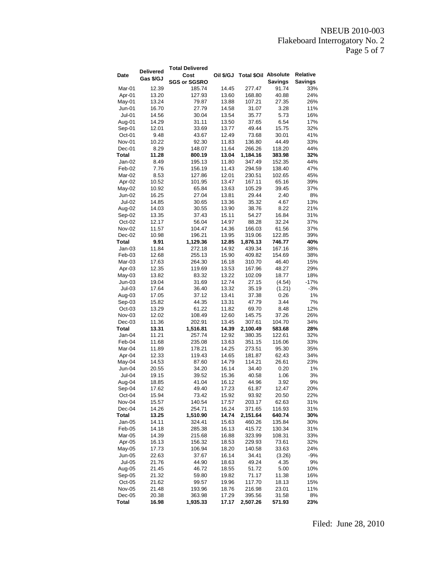NBEUB 2010-003 Flakeboard Interrogatory No. 2 Page 5 of 7

|              |                  | <b>Total Delivered</b> |           |                      |                |                |
|--------------|------------------|------------------------|-----------|----------------------|----------------|----------------|
| Date         | <b>Delivered</b> | Cost                   | Oil \$/GJ | Total \$Oil Absolute |                | Relative       |
|              | Gas \$/GJ        | <b>SGS or SGSRO</b>    |           |                      | <b>Savings</b> | <b>Savings</b> |
| Mar-01       | 12.39            | 185.74                 | 14.45     | 277.47               | 91.74          | 33%            |
| Apr-01       | 13.20            | 127.93                 | 13.60     | 168.80               | 40.88          | 24%            |
| May-01       | 13.24            | 79.87                  | 13.88     | 107.21               | 27.35          | 26%            |
| Jun-01       | 16.70            | 27.79                  | 14.58     | 31.07                | 3.28           | 11%            |
| Jul-01       | 14.56            | 30.04                  | 13.54     | 35.77                | 5.73           | 16%            |
| Aug-01       | 14.29            | 31.11                  | 13.50     | 37.65                | 6.54           | 17%            |
| Sep-01       | 12.01            | 33.69                  | 13.77     | 49.44                | 15.75          | 32%            |
| Oct-01       | 9.48             | 43.67                  | 12.49     | 73.68                | 30.01          | 41%            |
| Nov-01       | 10.22            |                        | 11.83     |                      | 44.49          | 33%            |
|              |                  | 92.30<br>148.07        |           | 136.80<br>266.26     |                |                |
| Dec-01       | 8.29             |                        | 11.64     |                      | 118.20         | 44%            |
| Total        | 11.28            | 800.19                 | 13.04     | 1,184.16             | 383.98         | 32%            |
| Jan-02       | 8.49             | 195.13                 | 11.80     | 347.49               | 152.35         | 44%            |
| Feb-02       | 7.76             | 156.19                 | 11.43     | 294.59               | 138.40         | 47%            |
| Mar-02       | 8.53             | 127.86                 | 12.01     | 230.51               | 102.65         | 45%            |
| Apr-02       | 10.52            | 101.95                 | 13.47     | 167.11               | 65.16          | 39%            |
| May-02       | 10.92            | 65.84                  | 13.63     | 105.29               | 39.45          | 37%            |
| Jun-02       | 16.25            | 27.04                  | 13.81     | 29.44                | 2.40           | 8%             |
| Jul-02       | 14.85            | 30.65                  | 13.36     | 35.32                | 4.67           | 13%            |
| Aug-02       | 14.03            | 30.55                  | 13.90     | 38.76                | 8.22           | 21%            |
| Sep-02       | 13.35            | 37.43                  | 15.11     | 54.27                | 16.84          | 31%            |
| Oct-02       | 12.17            | 56.04                  | 14.97     | 88.28                | 32.24          | 37%            |
| Nov-02       | 11.57            | 104.47                 | 14.36     | 166.03               | 61.56          | 37%            |
| Dec-02       | 10.98            | 196.21                 | 13.95     | 319.06               | 122.85         | 39%            |
| <b>Total</b> | 9.91             | 1,129.36               | 12.85     | 1,876.13             | 746.77         | 40%            |
| Jan-03       | 11.84            | 272.18                 | 14.92     | 439.34               | 167.16         | 38%            |
| Feb-03       | 12.68            | 255.13                 | 15.90     | 409.82               | 154.69         | 38%            |
| Mar-03       | 17.63            | 264.30                 | 16.18     | 310.70               | 46.40          | 15%            |
| Apr-03       | 12.35            | 119.69                 | 13.53     | 167.96               | 48.27          | 29%            |
| $May-03$     | 13.82            | 83.32                  | 13.22     | 102.09               | 18.77          | 18%            |
| $Jun-03$     | 19.04            | 31.69                  | 12.74     | 27.15                | (4.54)         | $-17%$         |
| $Jul-03$     | 17.64            | 36.40                  | 13.32     | 35.19                | (1.21)         | $-3%$          |
| Aug-03       | 17.05            | 37.12                  | 13.41     | 37.38                | 0.26           | 1%             |
| Sep-03       | 15.82            | 44.35                  | 13.31     | 47.79                | 3.44           | 7%             |
| $Oct-03$     | 13.29            | 61.22                  | 11.82     | 69.70                | 8.48           | 12%            |
| Nov-03       | 12.02            | 108.49                 | 12.60     | 145.75               | 37.26          | 26%            |
| Dec-03       | 11.36            | 202.91                 | 13.45     | 307.61               | 104.70         | 34%            |
| Total        | 13.31            | 1,516.81               | 14.39     | 2,100.49             | 583.68         | 28%            |
| Jan-04       | 11.21            | 257.74                 | 12.92     | 380.35               | 122.61         | 32%            |
| Feb-04       | 11.68            | 235.08                 | 13.63     | 351.15               | 116.06         | 33%            |
| Mar-04       | 11.89            | 178.21                 | 14.25     | 273.51               | 95.30          | 35%            |
| Apr-04       | 12.33            | 119.43                 | 14.65     | 181.87               | 62.43          | 34%            |
| May-04       | 14.53            | 87.60                  | 14.79     | 114.21               | 26.61          | 23%            |
| Jun-04       | 20.55            | 34.20                  | 16.14     | 34.40                | 0.20           | 1%             |
| Jul-04       | 19.15            | 39.52                  | 15.36     | 40.58                | 1.06           | 3%             |
| Aug-04       | 18.85            | 41.04                  | 16.12     | 44.96                | 3.92           | 9%             |
| Sep-04       | 17.62            | 49.40                  | 17.23     | 61.87                | 12.47          | 20%            |
| Oct-04       |                  | 73.42                  | 15.92     |                      |                | 22%            |
| Nov-04       | 15.94            |                        |           | 93.92                | 20.50          |                |
|              | 15.57            | 140.54                 | 17.57     | 203.17               | 62.63          | 31%            |
| Dec-04       | 14.26            | 254.71                 | 16.24     | 371.65               | 116.93         | 31%            |
| Total        | 13.25            | 1,510.90               | 14.74     | 2,151.64             | 640.74         | 30%            |
| Jan-05       | 14.11            | 324.41                 | 15.63     | 460.26               | 135.84         | 30%            |
| Feb-05       | 14.18            | 285.38                 | 16.13     | 415.72               | 130.34         | 31%            |
| Mar-05       | 14.39            | 215.68                 | 16.88     | 323.99               | 108.31         | 33%            |
| Apr-05       | 16.13            | 156.32                 | 18.53     | 229.93               | 73.61          | 32%            |
| May-05       | 17.73            | 106.94                 | 18.20     | 140.58               | 33.63          | 24%            |
| Jun-05       | 22.63            | 37.67                  | 16.14     | 34.41                | (3.26)         | -9%            |
| $Jul-05$     | 21.76            | 44.90                  | 18.63     | 49.24                | 4.35           | 9%             |
| Aug-05       | 21.45            | 46.72                  | 18.55     | 51.72                | 5.00           | 10%            |
| Sep-05       | 21.32            | 59.80                  | 19.82     | 71.17                | 11.38          | 16%            |
| $Oct-05$     | 21.62            | 99.57                  | 19.96     | 117.70               | 18.13          | 15%            |
| Nov-05       | 21.48            | 193.96                 | 18.76     | 216.98               | 23.01          | 11%            |
| Dec-05       | 20.38            | 363.98                 | 17.29     | 395.56               | 31.58          | 8%             |
| <b>Total</b> | 16.98            | 1,935.33               | 17.17     | 2,507.26             | 571.93         | 23%            |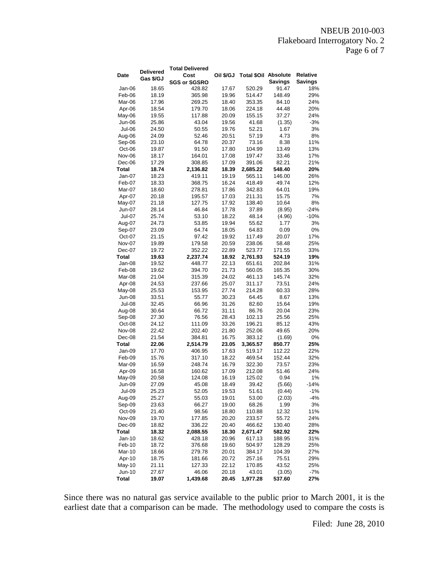### NBEUB 2010-003 Flakeboard Interrogatory No. 2 Page 6 of 7

|               |                  | <b>Total Delivered</b> |           |                             |                |          |
|---------------|------------------|------------------------|-----------|-----------------------------|----------------|----------|
| Date          | <b>Delivered</b> | Cost                   | Oil \$/GJ | <b>Total \$Oil Absolute</b> |                | Relative |
|               | Gas \$/GJ        | <b>SGS or SGSRO</b>    |           |                             | <b>Savings</b> | Savings  |
| Jan-06        | 18.65            | 428.82                 | 17.67     | 520.29                      | 91.47          | 18%      |
| Feb-06        | 18.19            | 365.98                 | 19.96     | 514.47                      | 148.49         | 29%      |
| Mar-06        | 17.96            | 269.25                 | 18.40     | 353.35                      | 84.10          | 24%      |
| Apr-06        | 18.54            | 179.70                 | 18.06     | 224.18                      | 44.48          | 20%      |
| May-06        | 19.55            | 117.88                 | 20.09     | 155.15                      | 37.27          | 24%      |
| Jun-06        | 25.86            | 43.04                  | 19.56     | 41.68                       | (1.35)         | $-3%$    |
| Jul-06        | 24.50            | 50.55                  | 19.76     | 52.21                       | 1.67           | 3%       |
| Aug-06        | 24.09            | 52.46                  | 20.51     | 57.19                       | 4.73           | 8%       |
| Sep-06        | 23.10            | 64.78                  | 20.37     | 73.16                       | 8.38           | 11%      |
| Oct-06        | 19.87            | 91.50                  | 17.80     | 104.99                      | 13.49          | 13%      |
| Nov-06        | 18.17            | 164.01                 | 17.08     | 197.47                      | 33.46          | 17%      |
| Dec-06        | 17.29            | 308.85                 | 17.09     | 391.06                      | 82.21          | 21%      |
| Total         | 18.74            | 2,136.82               | 18.39     | 2,685.22                    | 548.40         | 20%      |
| Jan-07        | 18.23            | 419.11                 | 19.19     | 565.11                      | 146.00         | 26%      |
| Feb-07        | 18.33            | 368.75                 | 16.24     | 418.49                      | 49.74          | 12%      |
| Mar-07        | 18.60            | 278.81                 | 17.86     | 342.83                      | 64.01          | 19%      |
| Apr-07        | 20.18            | 195.57                 | 17.03     | 211.31                      | 15.75          | 7%       |
| May-07        | 21.18            | 127.75                 | 17.92     | 138.40                      | 10.64          | 8%       |
| Jun-07        | 28.14            | 46.84                  | 17.78     | 37.89                       | (8.95)         | $-24%$   |
| Jul-07        | 25.74            | 53.10                  | 18.22     | 48.14                       | (4.96)         | $-10%$   |
| Aug-07        | 24.73            | 53.85                  | 19.94     | 55.62                       | 1.77           | 3%       |
| Sep-07        | 23.09            | 64.74                  | 18.05     | 64.83                       | 0.09           | 0%       |
| Oct-07        | 21.15            | 97.42                  | 19.92     | 117.49                      | 20.07          | 17%      |
| Nov-07        | 19.89            | 179.58                 | 20.59     | 238.06                      | 58.48          | 25%      |
| Dec-07        | 19.72            | 352.22                 | 22.89     | 523.77                      | 171.55         | 33%      |
| Total         | 19.63            | 2,237.74               | 18.92     | 2,761.93                    | 524.19         | 19%      |
| Jan-08        | 19.52            | 448.77                 | 22.13     | 651.61                      | 202.84         | 31%      |
| Feb-08        | 19.62            | 394.70                 | 21.73     | 560.05                      | 165.35         | 30%      |
| Mar-08        | 21.04            | 315.39                 | 24.02     | 461.13                      | 145.74         | 32%      |
| Apr-08        | 24.53            | 237.66                 | 25.07     | 311.17                      | 73.51          | 24%      |
| May-08        | 25.53            | 153.95                 | 27.74     | 214.28                      | 60.33          | 28%      |
| <b>Jun-08</b> | 33.51            | 55.77                  | 30.23     | 64.45                       | 8.67           | 13%      |
| Jul-08        | 32.45            | 66.96                  | 31.26     | 82.60                       | 15.64          | 19%      |
| Aug-08        | 30.64            | 66.72                  | 31.11     | 86.76                       | 20.04          | 23%      |
| Sep-08        | 27.30            | 76.56                  | 28.43     | 102.13                      | 25.56          | 25%      |
| Oct-08        | 24.12            | 111.09                 | 33.26     | 196.21                      | 85.12          | 43%      |
| <b>Nov-08</b> | 22.42            | 202.40                 | 21.80     | 252.06                      | 49.65          | 20%      |
| Dec-08        | 21.54            | 384.81                 | 16.75     | 383.12                      | (1.69)         | 0%       |
| Total         | 22.06            | 2,514.79               | 23.05     | 3,365.57                    | 850.77         | 25%      |
| Jan-09        | 17.70            | 406.95                 | 17.63     | 519.17                      | 112.22         | 22%      |
| Feb-09        | 15.76            | 317.10                 | 18.22     | 469.54                      | 152.44         | 32%      |
| Mar-09        | 16.59            | 248.74                 | 16.79     | 322.30                      | 73.57          | 23%      |
| Apr-09        | 16.58            | 160.62                 | 17.09     | 212.08                      | 51.46          | 24%      |
| May-09        | 20.58            | 124.08                 | 16.19     | 125.02                      | 0.94           | 1%       |
| Jun-09        | 27.09            | 45.08                  | 18.49     | 39.42                       | (5.66)         | -14%     |
| Jul-09        | 25.23            | 52.05                  | 19.53     | 51.61                       | (0.44)         | -1%      |
| Aug-09        | 25.27            | 55.03                  | 19.01     | 53.00                       | (2.03)         | -4%      |
| Sep-09        | 23.63            | 66.27                  | 19.00     | 68.26                       | 1.99           | 3%       |
| Oct-09        | 21.40            | 98.56                  | 18.80     | 110.88                      | 12.32          | 11%      |
| Nov-09        | 19.70            | 177.85                 | 20.20     | 233.57                      | 55.72          | 24%      |
| Dec-09        | 18.82            | 336.22                 | 20.40     | 466.62                      | 130.40         | 28%      |
| Total         | 18.32            | 2,088.55               | 18.30     | 2,671.47                    | 582.92         | 22%      |
| Jan-10        | 18.62            | 428.18                 | 20.96     | 617.13                      | 188.95         | 31%      |
| Feb-10        | 18.72            | 376.68                 | 19.60     | 504.97                      | 128.29         | 25%      |
| Mar-10        | 18.66            | 279.78                 | 20.01     | 384.17                      | 104.39         | 27%      |
| Apr-10        | 18.75            | 181.66                 | 20.72     | 257.16                      | 75.51          | 29%      |
| May-10        | 21.11            | 127.33                 | 22.12     | 170.85                      | 43.52          | 25%      |
| Jun-10        | 27.67            | 46.06                  | 20.18     | 43.01                       | (3.05)         | -7%      |
| Total         | 19.07            | 1,439.68               | 20.45     | 1,977.28                    | 537.60         | 27%      |

Since there was no natural gas service available to the public prior to March 2001, it is the earliest date that a comparison can be made. The methodology used to compare the costs is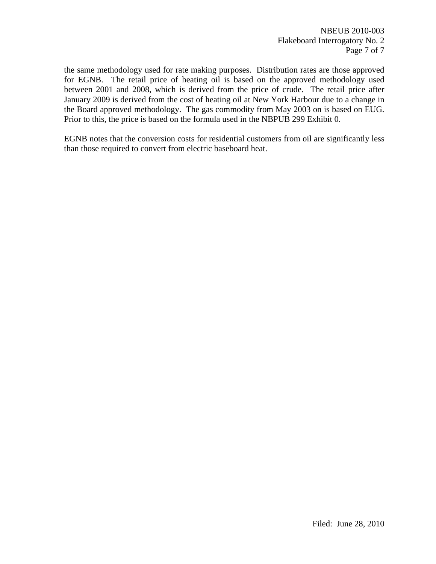the same methodology used for rate making purposes. Distribution rates are those approved for EGNB. The retail price of heating oil is based on the approved methodology used between 2001 and 2008, which is derived from the price of crude. The retail price after January 2009 is derived from the cost of heating oil at New York Harbour due to a change in the Board approved methodology. The gas commodity from May 2003 on is based on EUG. Prior to this, the price is based on the formula used in the NBPUB 299 Exhibit 0.

EGNB notes that the conversion costs for residential customers from oil are significantly less than those required to convert from electric baseboard heat.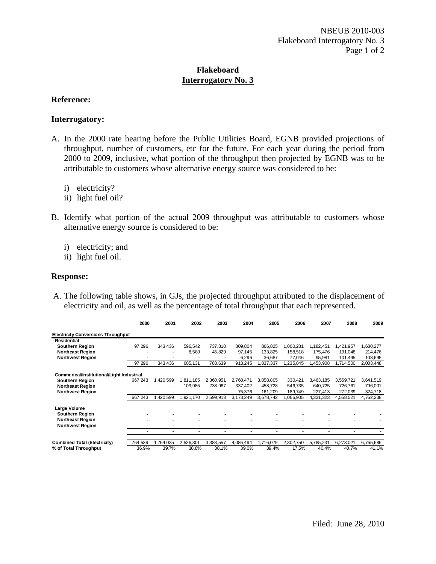## **Reference:**

#### **Interrogatory:**

- A. In the 2000 rate hearing before the Public Utilities Board, EGNB provided projections of throughput, number of customers, etc for the future. For each year during the period from 2000 to 2009, inclusive, what portion of the throughput then projected by EGNB was to be attributable to customers whose alternative energy source was considered to be:
	- i) electricity?
	- ii) light fuel oil?
- B. Identify what portion of the actual 2009 throughput was attributable to customers whose alternative energy source is considered to be:
	- i) electricity; and
	- ii) light fuel oil.

#### **Response:**

A. The following table shows, in GJs, the projected throughput attributed to the displacement of electricity and oil, as well as the percentage of total throughput that each represented.

|                                           | 2000    | 2001      | 2002      | 2003      | 2004      | 2005      | 2006           | 2007      | 2008      | 2009      |
|-------------------------------------------|---------|-----------|-----------|-----------|-----------|-----------|----------------|-----------|-----------|-----------|
| <b>Electricity Conversions Throughput</b> |         |           |           |           |           |           |                |           |           |           |
| <b>Residential</b>                        |         |           |           |           |           |           |                |           |           |           |
| <b>Southern Region</b>                    | 97,296  | 343,436   | 596,542   | 737,810   | 809,804   | 866,825   | 1,000,281      | 1,182,451 | 1,421,957 | 1,680,277 |
| <b>Northeast Region</b>                   |         | ٠         | 8,589     | 45,829    | 97,145    | 133,825   | 158,518        | 175,476   | 191,048   | 214,476   |
| <b>Northwest Region</b>                   |         |           |           |           | 6,296     | 36,687    | 77,046         | 95,981    | 101,495   | 108,695   |
|                                           | 97,296  | 343,436   | 605,131   | 783,639   | 913,245   | 1,037,337 | ,235,845       | 1,453,908 | ,714,500  | 2,003,448 |
| Commerical/Institutional/Light Industrial |         |           |           |           |           |           |                |           |           |           |
| Southern Region                           | 667,243 | 1,420,599 | 1,811,185 | 2,360,951 | 2,760,471 | 3,058,805 | 330,421        | 3,463,185 | 3,559,721 | 3,641,519 |
| <b>Northeast Region</b>                   |         | ٠         | 109,985   | 238.967   | 337,402   | 458,728   | 546,735        | 640,725   | 726,761   | 796,001   |
| <b>Northwest Region</b>                   |         |           |           |           | 75,376    | 161,209   | 189,749        | 227,413   | 272,039   | 324,718   |
|                                           | 667,243 | .420.599  | 1.921.170 | 2,599,918 | 3.173.249 | 3.678.742 | .066.905       | 4,331,323 | 4,558,521 | 4,762,238 |
| Large Volume                              |         |           |           |           |           |           |                |           |           |           |
| <b>Southern Region</b>                    |         |           |           |           |           |           |                |           |           |           |
| <b>Northeast Region</b>                   |         | ٠         |           |           |           | ٠         | ٠              |           |           |           |
| <b>Northwest Region</b>                   |         |           |           |           |           |           |                |           |           |           |
|                                           |         | ۰         | ٠         | ٠         | ۰         | ٠         | $\blacksquare$ | ٠         | ٠         |           |
| Combined Total (Electricity)              | 764,539 | ,764,035  | 2,526,301 | 3,383,557 | 4,086,494 | 4,716,079 | 2,302,750      | 5,785,231 | 6,273,021 | 6,765,686 |
| % of Total Throughput                     | 36.9%   | 39.7%     | 38.8%     | 38.1%     | 39.0%     | 39.4%     | 17.5%          | 40.4%     | 40.7%     | 41.1%     |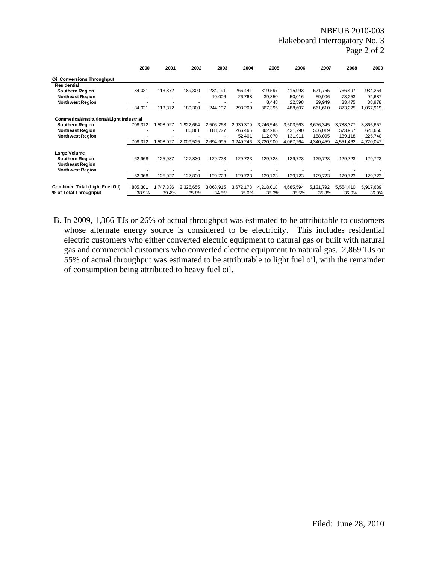#### NBEUB 2010-003 Flakeboard Interrogatory No. 3 Page 2 of 2

|                                           | 2000    | 2001      | 2002      | 2003      | 2004      | 2005      | 2006      | 2007      | 2008      | 2009      |
|-------------------------------------------|---------|-----------|-----------|-----------|-----------|-----------|-----------|-----------|-----------|-----------|
| Oil Conversions Throughput                |         |           |           |           |           |           |           |           |           |           |
| <b>Residential</b>                        |         |           |           |           |           |           |           |           |           |           |
| <b>Southern Region</b>                    | 34,021  | 113,372   | 189,300   | 234,191   | 266,441   | 319,597   | 415,993   | 571,755   | 766,497   | 934,254   |
| <b>Northeast Region</b>                   |         |           |           | 10,006    | 26,768    | 39,350    | 50,016    | 59,906    | 73,253    | 94,687    |
| <b>Northwest Region</b>                   |         |           |           |           |           | 8,448     | 22,598    | 29,949    | 33,475    | 38,978    |
|                                           | 34,021  | 113.372   | 189.300   | 244.197   | 293,209   | 367,395   | 488,607   | 661,610   | 873.225   | ,067,919  |
| Commerical/Institutional/Light Industrial |         |           |           |           |           |           |           |           |           |           |
| <b>Southern Region</b>                    | 708,312 | 1,508,027 | 1,922,664 | 2,506,268 | 2,930,379 | 3.246.545 | 3,503,563 | 3,676,345 | 3,788,377 | 3,865,657 |
| <b>Northeast Region</b>                   |         |           | 86,861    | 188,727   | 266,466   | 362,285   | 431,790   | 506,019   | 573.967   | 628,650   |
| <b>Northwest Region</b>                   |         |           |           |           | 52,401    | 112,070   | 131,911   | 158,095   | 189,118   | 225,740   |
|                                           | 708,312 | .508.027  | 2,009,525 | 2,694,995 | 3,249,246 | 3,720,900 | 4,067,264 | 4,340,459 | 4,551,462 | 4,720,047 |
| Large Volume                              |         |           |           |           |           |           |           |           |           |           |
| <b>Southern Region</b>                    | 62,968  | 125,937   | 127,830   | 129,723   | 129,723   | 129,723   | 129,723   | 129,723   | 129,723   | 129,723   |
| <b>Northeast Region</b>                   |         |           |           |           |           |           |           |           |           |           |
| <b>Northwest Region</b>                   |         |           |           |           |           |           |           |           |           |           |
|                                           | 62,968  | 125,937   | 127,830   | 129,723   | 129,723   | 129,723   | 129,723   | 129,723   | 129,723   | 129,723   |
| <b>Combined Total (Light Fuel Oil)</b>    | 805,301 | 1,747,336 | 2,326,655 | 3,068,915 | 3,672,178 | 4,218,018 | 4,685,594 | 5,131,792 | 5,554,410 | 5,917,689 |
| % of Total Throughput                     | 38.9%   | 39.4%     | 35.8%     | 34.5%     | 35.0%     | 35.3%     | 35.5%     | 35.8%     | 36.0%     | 36.0%     |

B. In 2009, 1,366 TJs or 26% of actual throughput was estimated to be attributable to customers whose alternate energy source is considered to be electricity. This includes residential electric customers who either converted electric equipment to natural gas or built with natural gas and commercial customers who converted electric equipment to natural gas. 2,869 TJs or 55% of actual throughput was estimated to be attributable to light fuel oil, with the remainder of consumption being attributed to heavy fuel oil.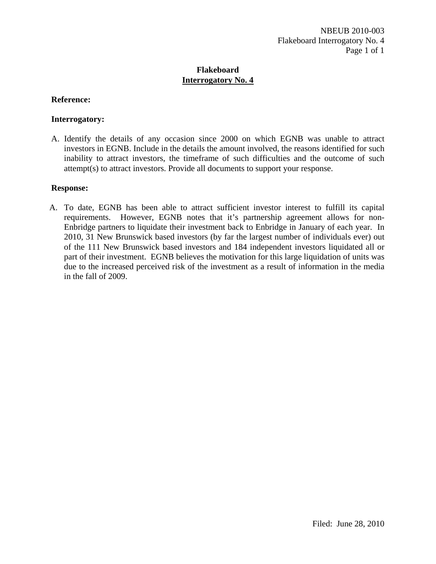## **Reference:**

## **Interrogatory:**

A. Identify the details of any occasion since 2000 on which EGNB was unable to attract investors in EGNB. Include in the details the amount involved, the reasons identified for such inability to attract investors, the timeframe of such difficulties and the outcome of such attempt(s) to attract investors. Provide all documents to support your response.

#### **Response:**

A. To date, EGNB has been able to attract sufficient investor interest to fulfill its capital requirements. However, EGNB notes that it's partnership agreement allows for non-Enbridge partners to liquidate their investment back to Enbridge in January of each year. In 2010, 31 New Brunswick based investors (by far the largest number of individuals ever) out of the 111 New Brunswick based investors and 184 independent investors liquidated all or part of their investment. EGNB believes the motivation for this large liquidation of units was due to the increased perceived risk of the investment as a result of information in the media in the fall of 2009.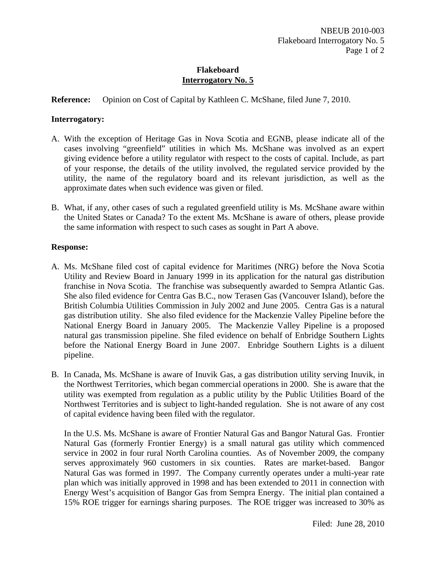**Reference:** Opinion on Cost of Capital by Kathleen C. McShane, filed June 7, 2010.

#### **Interrogatory:**

- A. With the exception of Heritage Gas in Nova Scotia and EGNB, please indicate all of the cases involving "greenfield" utilities in which Ms. McShane was involved as an expert giving evidence before a utility regulator with respect to the costs of capital. Include, as part of your response, the details of the utility involved, the regulated service provided by the utility, the name of the regulatory board and its relevant jurisdiction, as well as the approximate dates when such evidence was given or filed.
- B. What, if any, other cases of such a regulated greenfield utility is Ms. McShane aware within the United States or Canada? To the extent Ms. McShane is aware of others, please provide the same information with respect to such cases as sought in Part A above.

#### **Response:**

- A. Ms. McShane filed cost of capital evidence for Maritimes (NRG) before the Nova Scotia Utility and Review Board in January 1999 in its application for the natural gas distribution franchise in Nova Scotia. The franchise was subsequently awarded to Sempra Atlantic Gas. She also filed evidence for Centra Gas B.C., now Terasen Gas (Vancouver Island), before the British Columbia Utilities Commission in July 2002 and June 2005. Centra Gas is a natural gas distribution utility. She also filed evidence for the Mackenzie Valley Pipeline before the National Energy Board in January 2005. The Mackenzie Valley Pipeline is a proposed natural gas transmission pipeline. She filed evidence on behalf of Enbridge Southern Lights before the National Energy Board in June 2007. Enbridge Southern Lights is a diluent pipeline.
- B. In Canada, Ms. McShane is aware of Inuvik Gas, a gas distribution utility serving Inuvik, in the Northwest Territories, which began commercial operations in 2000. She is aware that the utility was exempted from regulation as a public utility by the Public Utilities Board of the Northwest Territories and is subject to light-handed regulation. She is not aware of any cost of capital evidence having been filed with the regulator.

In the U.S. Ms. McShane is aware of Frontier Natural Gas and Bangor Natural Gas. Frontier Natural Gas (formerly Frontier Energy) is a small natural gas utility which commenced service in 2002 in four rural North Carolina counties. As of November 2009, the company serves approximately 960 customers in six counties. Rates are market-based. Bangor Natural Gas was formed in 1997. The Company currently operates under a multi-year rate plan which was initially approved in 1998 and has been extended to 2011 in connection with Energy West's acquisition of Bangor Gas from Sempra Energy. The initial plan contained a 15% ROE trigger for earnings sharing purposes. The ROE trigger was increased to 30% as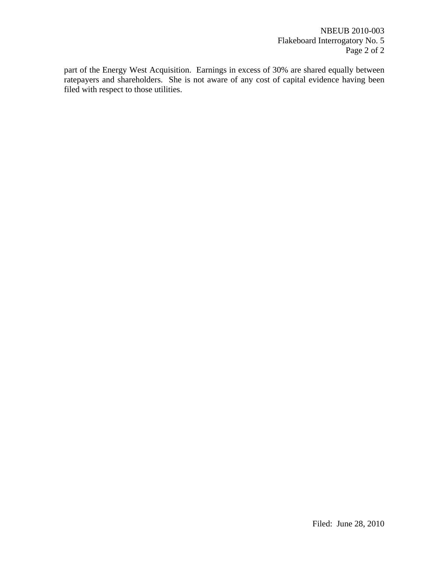part of the Energy West Acquisition. Earnings in excess of 30% are shared equally between ratepayers and shareholders. She is not aware of any cost of capital evidence having been filed with respect to those utilities.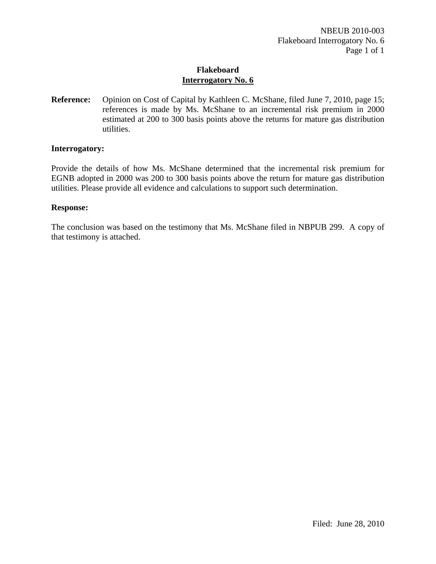**Reference:** Opinion on Cost of Capital by Kathleen C. McShane, filed June 7, 2010, page 15; references is made by Ms. McShane to an incremental risk premium in 2000 estimated at 200 to 300 basis points above the returns for mature gas distribution utilities.

#### **Interrogatory:**

Provide the details of how Ms. McShane determined that the incremental risk premium for EGNB adopted in 2000 was 200 to 300 basis points above the return for mature gas distribution utilities. Please provide all evidence and calculations to support such determination.

#### **Response:**

The conclusion was based on the testimony that Ms. McShane filed in NBPUB 299. A copy of that testimony is attached.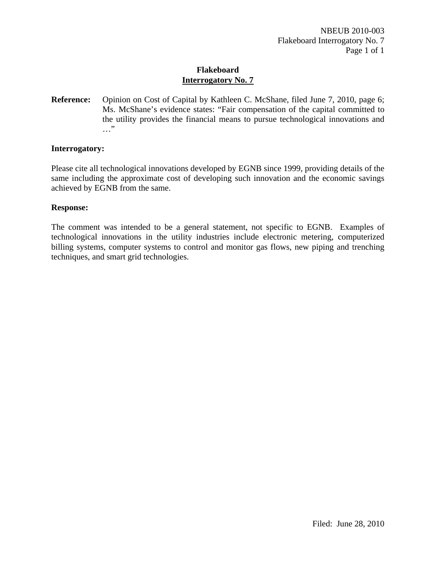**Reference:** Opinion on Cost of Capital by Kathleen C. McShane, filed June 7, 2010, page 6; Ms. McShane's evidence states: "Fair compensation of the capital committed to the utility provides the financial means to pursue technological innovations and …"

#### **Interrogatory:**

Please cite all technological innovations developed by EGNB since 1999, providing details of the same including the approximate cost of developing such innovation and the economic savings achieved by EGNB from the same.

#### **Response:**

The comment was intended to be a general statement, not specific to EGNB. Examples of technological innovations in the utility industries include electronic metering, computerized billing systems, computer systems to control and monitor gas flows, new piping and trenching techniques, and smart grid technologies.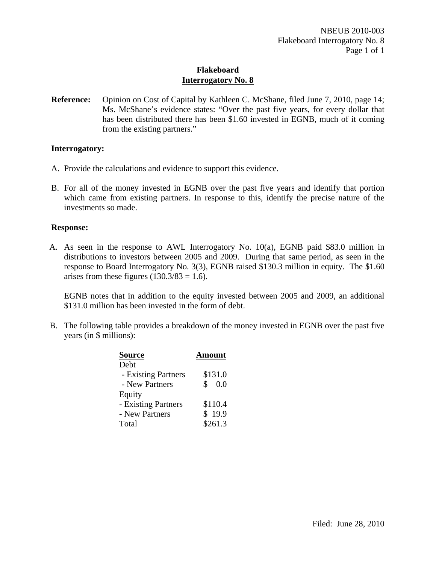**Reference:** Opinion on Cost of Capital by Kathleen C. McShane, filed June 7, 2010, page 14; Ms. McShane's evidence states: "Over the past five years, for every dollar that has been distributed there has been \$1.60 invested in EGNB, much of it coming from the existing partners."

#### **Interrogatory:**

- A. Provide the calculations and evidence to support this evidence.
- B. For all of the money invested in EGNB over the past five years and identify that portion which came from existing partners. In response to this, identify the precise nature of the investments so made.

#### **Response:**

A. As seen in the response to AWL Interrogatory No. 10(a), EGNB paid \$83.0 million in distributions to investors between 2005 and 2009. During that same period, as seen in the response to Board Interrogatory No. 3(3), EGNB raised \$130.3 million in equity. The \$1.60 arises from these figures  $(130.3/83 = 1.6)$ .

EGNB notes that in addition to the equity invested between 2005 and 2009, an additional \$131.0 million has been invested in the form of debt.

B. The following table provides a breakdown of the money invested in EGNB over the past five years (in \$ millions):

| <b>Source</b>       | <b>Amount</b> |
|---------------------|---------------|
| Debt                |               |
| - Existing Partners | \$131.0       |
| - New Partners      | \$<br>0.0     |
| Equity              |               |
| - Existing Partners | \$110.4       |
| - New Partners      | \$19.9        |
| Total               | \$261.3       |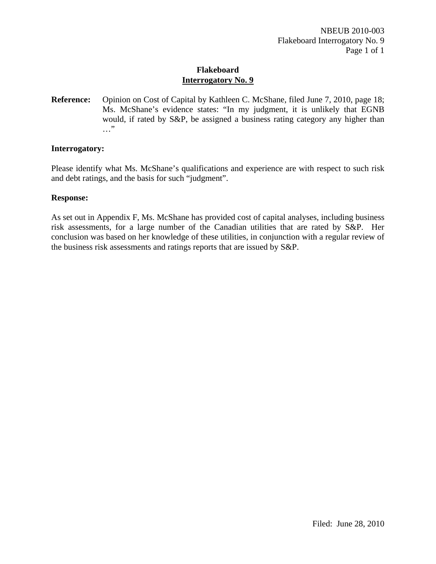**Reference:** Opinion on Cost of Capital by Kathleen C. McShane, filed June 7, 2010, page 18; Ms. McShane's evidence states: "In my judgment, it is unlikely that EGNB would, if rated by S&P, be assigned a business rating category any higher than …"

#### **Interrogatory:**

Please identify what Ms. McShane's qualifications and experience are with respect to such risk and debt ratings, and the basis for such "judgment".

#### **Response:**

As set out in Appendix F, Ms. McShane has provided cost of capital analyses, including business risk assessments, for a large number of the Canadian utilities that are rated by S&P. Her conclusion was based on her knowledge of these utilities, in conjunction with a regular review of the business risk assessments and ratings reports that are issued by S&P.